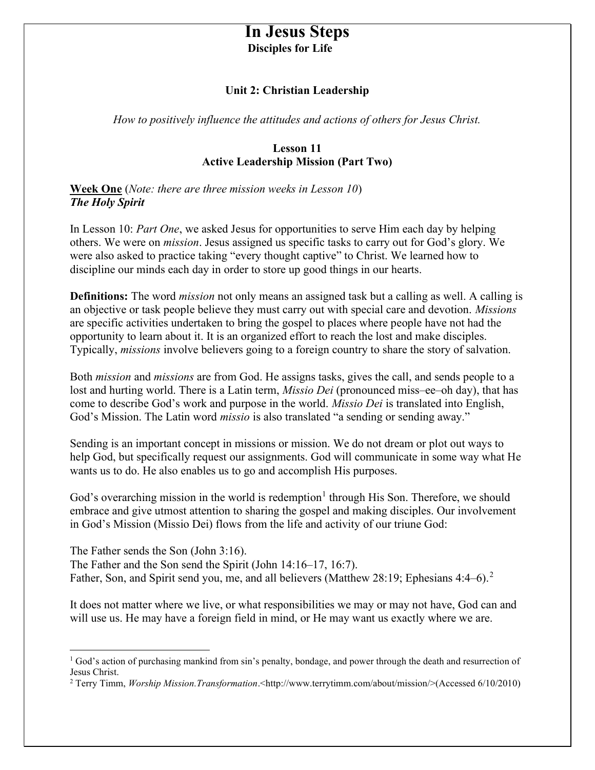# In Jesus Steps Disciples for Life

#### Unit 2: Christian Leadership

How to positively influence the attitudes and actions of others for Jesus Christ.

#### Lesson 11 Active Leadership Mission (Part Two)

Week One (Note: there are three mission weeks in Lesson 10) The Holy Spirit

In Lesson 10: Part One, we asked Jesus for opportunities to serve Him each day by helping others. We were on mission. Jesus assigned us specific tasks to carry out for God's glory. We were also asked to practice taking "every thought captive" to Christ. We learned how to discipline our minds each day in order to store up good things in our hearts.

Definitions: The word *mission* not only means an assigned task but a calling as well. A calling is an objective or task people believe they must carry out with special care and devotion. Missions are specific activities undertaken to bring the gospel to places where people have not had the opportunity to learn about it. It is an organized effort to reach the lost and make disciples. Typically, missions involve believers going to a foreign country to share the story of salvation.

Both mission and missions are from God. He assigns tasks, gives the call, and sends people to a lost and hurting world. There is a Latin term, *Missio Dei* (pronounced miss–ee–oh day), that has come to describe God's work and purpose in the world. *Missio Dei* is translated into English, God's Mission. The Latin word *missio* is also translated "a sending or sending away."

Sending is an important concept in missions or mission. We do not dream or plot out ways to help God, but specifically request our assignments. God will communicate in some way what He wants us to do. He also enables us to go and accomplish His purposes.

God's overarching mission in the world is redemption<sup>1</sup> through His Son. Therefore, we should embrace and give utmost attention to sharing the gospel and making disciples. Our involvement in God's Mission (Missio Dei) flows from the life and activity of our triune God:

The Father sends the Son (John 3:16). The Father and the Son send the Spirit (John 14:16–17, 16:7). Father, Son, and Spirit send you, me, and all believers (Matthew 28:19; Ephesians 4:4–6).<sup>2</sup>

It does not matter where we live, or what responsibilities we may or may not have, God can and will use us. He may have a foreign field in mind, or He may want us exactly where we are.

<sup>&</sup>lt;sup>1</sup> God's action of purchasing mankind from sin's penalty, bondage, and power through the death and resurrection of Jesus Christ.

<sup>&</sup>lt;sup>2</sup> Terry Timm, *Worship Mission.Transformation*.<http://www.terrytimm.com/about/mission/>(Accessed 6/10/2010)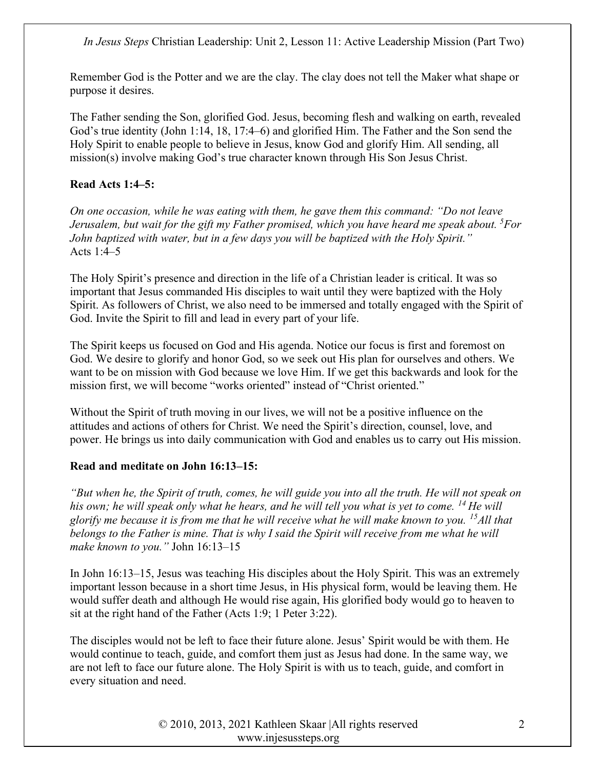Remember God is the Potter and we are the clay. The clay does not tell the Maker what shape or purpose it desires.

The Father sending the Son, glorified God. Jesus, becoming flesh and walking on earth, revealed God's true identity (John 1:14, 18, 17:4–6) and glorified Him. The Father and the Son send the Holy Spirit to enable people to believe in Jesus, know God and glorify Him. All sending, all mission(s) involve making God's true character known through His Son Jesus Christ.

## Read Acts 1:4–5:

On one occasion, while he was eating with them, he gave them this command: "Do not leave Jerusalem, but wait for the gift my Father promised, which you have heard me speak about.  ${}^{5}$ For John baptized with water, but in a few days you will be baptized with the Holy Spirit." Acts 1:4–5

The Holy Spirit's presence and direction in the life of a Christian leader is critical. It was so important that Jesus commanded His disciples to wait until they were baptized with the Holy Spirit. As followers of Christ, we also need to be immersed and totally engaged with the Spirit of God. Invite the Spirit to fill and lead in every part of your life.

The Spirit keeps us focused on God and His agenda. Notice our focus is first and foremost on God. We desire to glorify and honor God, so we seek out His plan for ourselves and others. We want to be on mission with God because we love Him. If we get this backwards and look for the mission first, we will become "works oriented" instead of "Christ oriented."

Without the Spirit of truth moving in our lives, we will not be a positive influence on the attitudes and actions of others for Christ. We need the Spirit's direction, counsel, love, and power. He brings us into daily communication with God and enables us to carry out His mission.

### Read and meditate on John 16:13–15:

"But when he, the Spirit of truth, comes, he will guide you into all the truth. He will not speak on his own; he will speak only what he hears, and he will tell you what is yet to come.  $^{14}$  He will glorify me because it is from me that he will receive what he will make known to you. <sup>15</sup>All that belongs to the Father is mine. That is why I said the Spirit will receive from me what he will make known to you." John 16:13-15

In John 16:13–15, Jesus was teaching His disciples about the Holy Spirit. This was an extremely important lesson because in a short time Jesus, in His physical form, would be leaving them. He would suffer death and although He would rise again, His glorified body would go to heaven to sit at the right hand of the Father (Acts 1:9; 1 Peter 3:22).

The disciples would not be left to face their future alone. Jesus' Spirit would be with them. He would continue to teach, guide, and comfort them just as Jesus had done. In the same way, we are not left to face our future alone. The Holy Spirit is with us to teach, guide, and comfort in every situation and need.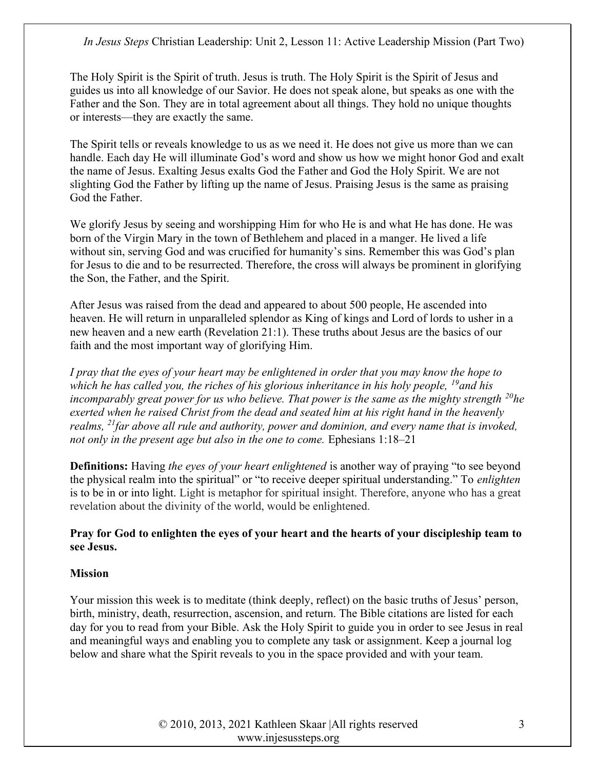The Holy Spirit is the Spirit of truth. Jesus is truth. The Holy Spirit is the Spirit of Jesus and guides us into all knowledge of our Savior. He does not speak alone, but speaks as one with the Father and the Son. They are in total agreement about all things. They hold no unique thoughts or interests—they are exactly the same.

The Spirit tells or reveals knowledge to us as we need it. He does not give us more than we can handle. Each day He will illuminate God's word and show us how we might honor God and exalt the name of Jesus. Exalting Jesus exalts God the Father and God the Holy Spirit. We are not slighting God the Father by lifting up the name of Jesus. Praising Jesus is the same as praising God the Father.

We glorify Jesus by seeing and worshipping Him for who He is and what He has done. He was born of the Virgin Mary in the town of Bethlehem and placed in a manger. He lived a life without sin, serving God and was crucified for humanity's sins. Remember this was God's plan for Jesus to die and to be resurrected. Therefore, the cross will always be prominent in glorifying the Son, the Father, and the Spirit.

After Jesus was raised from the dead and appeared to about 500 people, He ascended into heaven. He will return in unparalleled splendor as King of kings and Lord of lords to usher in a new heaven and a new earth (Revelation 21:1). These truths about Jesus are the basics of our faith and the most important way of glorifying Him.

I pray that the eyes of your heart may be enlightened in order that you may know the hope to which he has called you, the riches of his glorious inheritance in his holy people,  $^{19}$  and his incomparably great power for us who believe. That power is the same as the mighty strength  $^{20}$ he exerted when he raised Christ from the dead and seated him at his right hand in the heavenly realms,  $^{21}$  far above all rule and authority, power and dominion, and every name that is invoked, not only in the present age but also in the one to come. Ephesians 1:18–21

**Definitions:** Having the eyes of your heart enlightened is another way of praying "to see beyond the physical realm into the spiritual" or "to receive deeper spiritual understanding." To enlighten is to be in or into light. Light is metaphor for spiritual insight. Therefore, anyone who has a great revelation about the divinity of the world, would be enlightened.

# Pray for God to enlighten the eyes of your heart and the hearts of your discipleship team to see Jesus.

### Mission

Your mission this week is to meditate (think deeply, reflect) on the basic truths of Jesus' person, birth, ministry, death, resurrection, ascension, and return. The Bible citations are listed for each day for you to read from your Bible. Ask the Holy Spirit to guide you in order to see Jesus in real and meaningful ways and enabling you to complete any task or assignment. Keep a journal log below and share what the Spirit reveals to you in the space provided and with your team.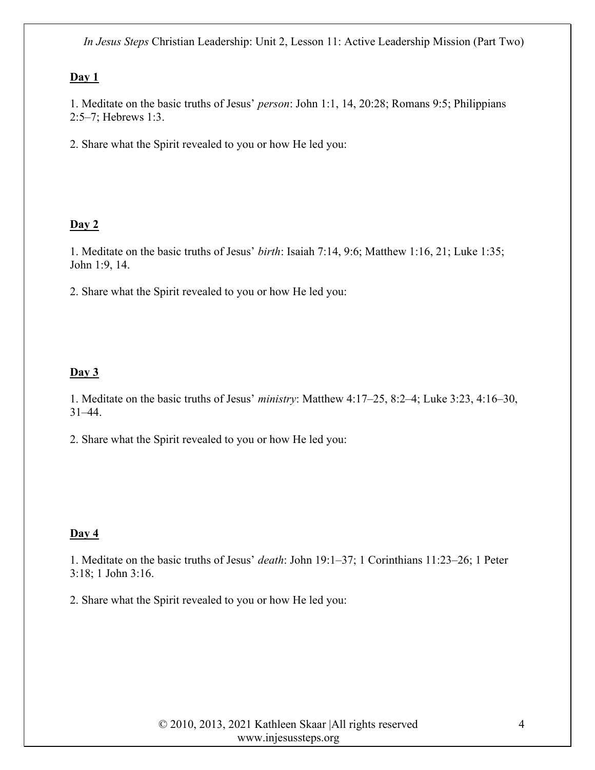### $Day 1$

1. Meditate on the basic truths of Jesus' person: John 1:1, 14, 20:28; Romans 9:5; Philippians 2:5–7; Hebrews 1:3.

2. Share what the Spirit revealed to you or how He led you:

### $Day 2$

1. Meditate on the basic truths of Jesus' birth: Isaiah 7:14, 9:6; Matthew 1:16, 21; Luke 1:35; John 1:9, 14.

2. Share what the Spirit revealed to you or how He led you:

### $Day 3$

1. Meditate on the basic truths of Jesus' ministry: Matthew 4:17–25, 8:2–4; Luke 3:23, 4:16–30, 31–44.

2. Share what the Spirit revealed to you or how He led you:

#### Day 4

1. Meditate on the basic truths of Jesus' death: John 19:1–37; 1 Corinthians 11:23–26; 1 Peter 3:18; 1 John 3:16.

2. Share what the Spirit revealed to you or how He led you: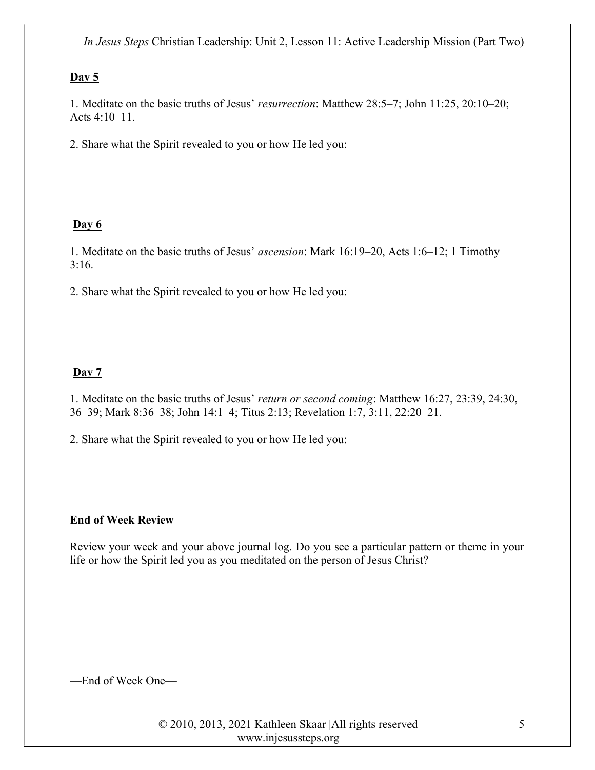### Day  $5$

1. Meditate on the basic truths of Jesus' resurrection: Matthew 28:5–7; John 11:25, 20:10–20; Acts 4:10–11.

2. Share what the Spirit revealed to you or how He led you:

# Day 6

1. Meditate on the basic truths of Jesus' ascension: Mark 16:19–20, Acts 1:6–12; 1 Timothy 3:16.

2. Share what the Spirit revealed to you or how He led you:

# Day 7

1. Meditate on the basic truths of Jesus' return or second coming: Matthew 16:27, 23:39, 24:30, 36–39; Mark 8:36–38; John 14:1–4; Titus 2:13; Revelation 1:7, 3:11, 22:20–21.

2. Share what the Spirit revealed to you or how He led you:

### End of Week Review

Review your week and your above journal log. Do you see a particular pattern or theme in your life or how the Spirit led you as you meditated on the person of Jesus Christ?

—End of Week One—

© 2010, 2013, 2021 Kathleen Skaar |All rights reserved www.injesussteps.org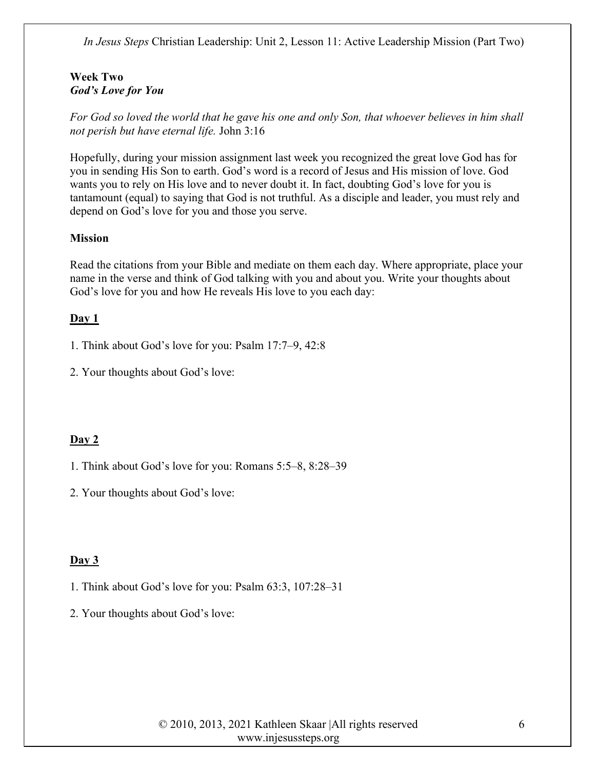### Week Two God's Love for You

For God so loved the world that he gave his one and only Son, that whoever believes in him shall not perish but have eternal life. John 3:16

Hopefully, during your mission assignment last week you recognized the great love God has for you in sending His Son to earth. God's word is a record of Jesus and His mission of love. God wants you to rely on His love and to never doubt it. In fact, doubting God's love for you is tantamount (equal) to saying that God is not truthful. As a disciple and leader, you must rely and depend on God's love for you and those you serve.

# Mission

Read the citations from your Bible and mediate on them each day. Where appropriate, place your name in the verse and think of God talking with you and about you. Write your thoughts about God's love for you and how He reveals His love to you each day:

# $Day 1$

1. Think about God's love for you: Psalm 17:7–9, 42:8

2. Your thoughts about God's love:

### Day 2

1. Think about God's love for you: Romans 5:5–8, 8:28–39

2. Your thoughts about God's love:

### Day 3

1. Think about God's love for you: Psalm 63:3, 107:28–31

2. Your thoughts about God's love: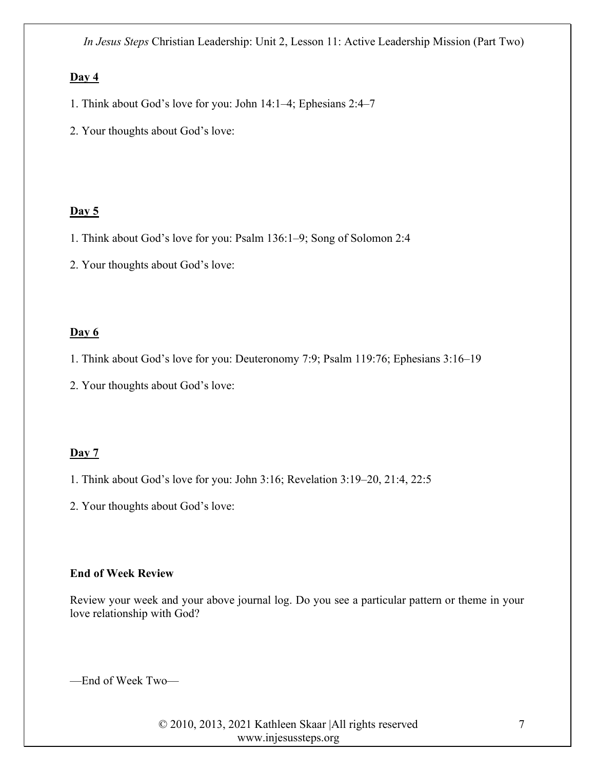#### $Day 4$

- 1. Think about God's love for you: John 14:1–4; Ephesians 2:4–7
- 2. Your thoughts about God's love:

#### Day  $5$

- 1. Think about God's love for you: Psalm 136:1–9; Song of Solomon 2:4
- 2. Your thoughts about God's love:

#### Day 6

1. Think about God's love for you: Deuteronomy 7:9; Psalm 119:76; Ephesians 3:16–19

2. Your thoughts about God's love:

#### Day 7

- 1. Think about God's love for you: John 3:16; Revelation 3:19–20, 21:4, 22:5
- 2. Your thoughts about God's love:

#### End of Week Review

Review your week and your above journal log. Do you see a particular pattern or theme in your love relationship with God?

—End of Week Two—

© 2010, 2013, 2021 Kathleen Skaar |All rights reserved www.injesussteps.org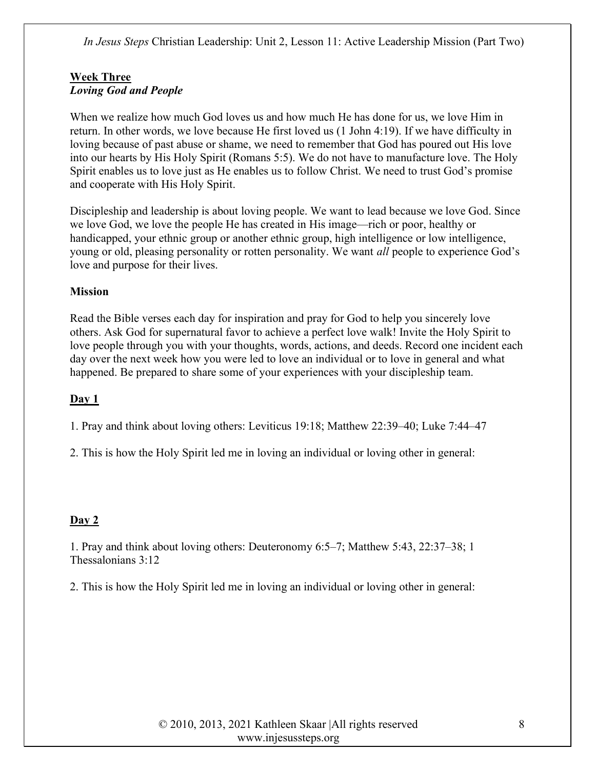## Week Three Loving God and People

When we realize how much God loves us and how much He has done for us, we love Him in return. In other words, we love because He first loved us (1 John 4:19). If we have difficulty in loving because of past abuse or shame, we need to remember that God has poured out His love into our hearts by His Holy Spirit (Romans 5:5). We do not have to manufacture love. The Holy Spirit enables us to love just as He enables us to follow Christ. We need to trust God's promise and cooperate with His Holy Spirit.

Discipleship and leadership is about loving people. We want to lead because we love God. Since we love God, we love the people He has created in His image—rich or poor, healthy or handicapped, your ethnic group or another ethnic group, high intelligence or low intelligence, young or old, pleasing personality or rotten personality. We want all people to experience God's love and purpose for their lives.

# **Mission**

Read the Bible verses each day for inspiration and pray for God to help you sincerely love others. Ask God for supernatural favor to achieve a perfect love walk! Invite the Holy Spirit to love people through you with your thoughts, words, actions, and deeds. Record one incident each day over the next week how you were led to love an individual or to love in general and what happened. Be prepared to share some of your experiences with your discipleship team.

# Day 1

1. Pray and think about loving others: Leviticus 19:18; Matthew 22:39–40; Luke 7:44–47

2. This is how the Holy Spirit led me in loving an individual or loving other in general:

### Day 2

1. Pray and think about loving others: Deuteronomy 6:5–7; Matthew 5:43, 22:37–38; 1 Thessalonians 3:12

2. This is how the Holy Spirit led me in loving an individual or loving other in general: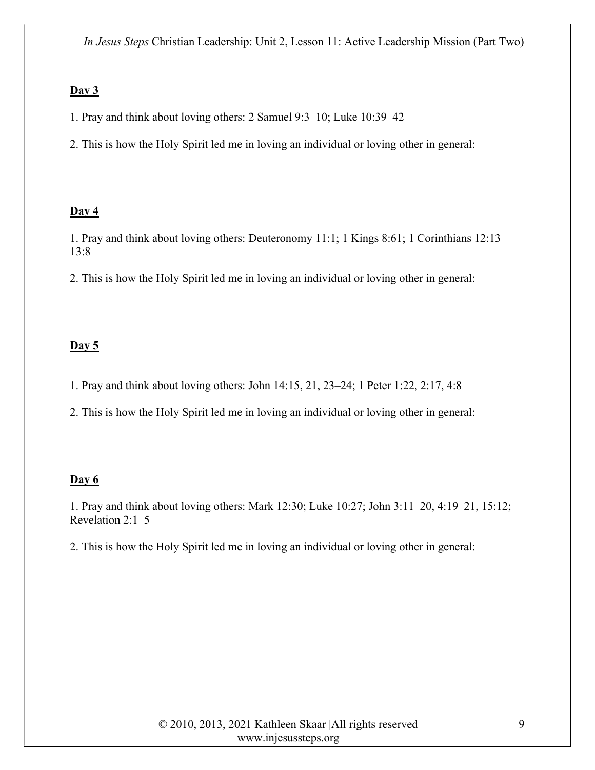#### $Day 3$

- 1. Pray and think about loving others: 2 Samuel 9:3–10; Luke 10:39–42
- 2. This is how the Holy Spirit led me in loving an individual or loving other in general:

### $Day 4$

1. Pray and think about loving others: Deuteronomy 11:1; 1 Kings 8:61; 1 Corinthians 12:13– 13:8

2. This is how the Holy Spirit led me in loving an individual or loving other in general:

### Day  $5$

- 1. Pray and think about loving others: John 14:15, 21, 23–24; 1 Peter 1:22, 2:17, 4:8
- 2. This is how the Holy Spirit led me in loving an individual or loving other in general:

#### Day 6

1. Pray and think about loving others: Mark 12:30; Luke 10:27; John 3:11–20, 4:19–21, 15:12; Revelation 2:1–5

2. This is how the Holy Spirit led me in loving an individual or loving other in general: